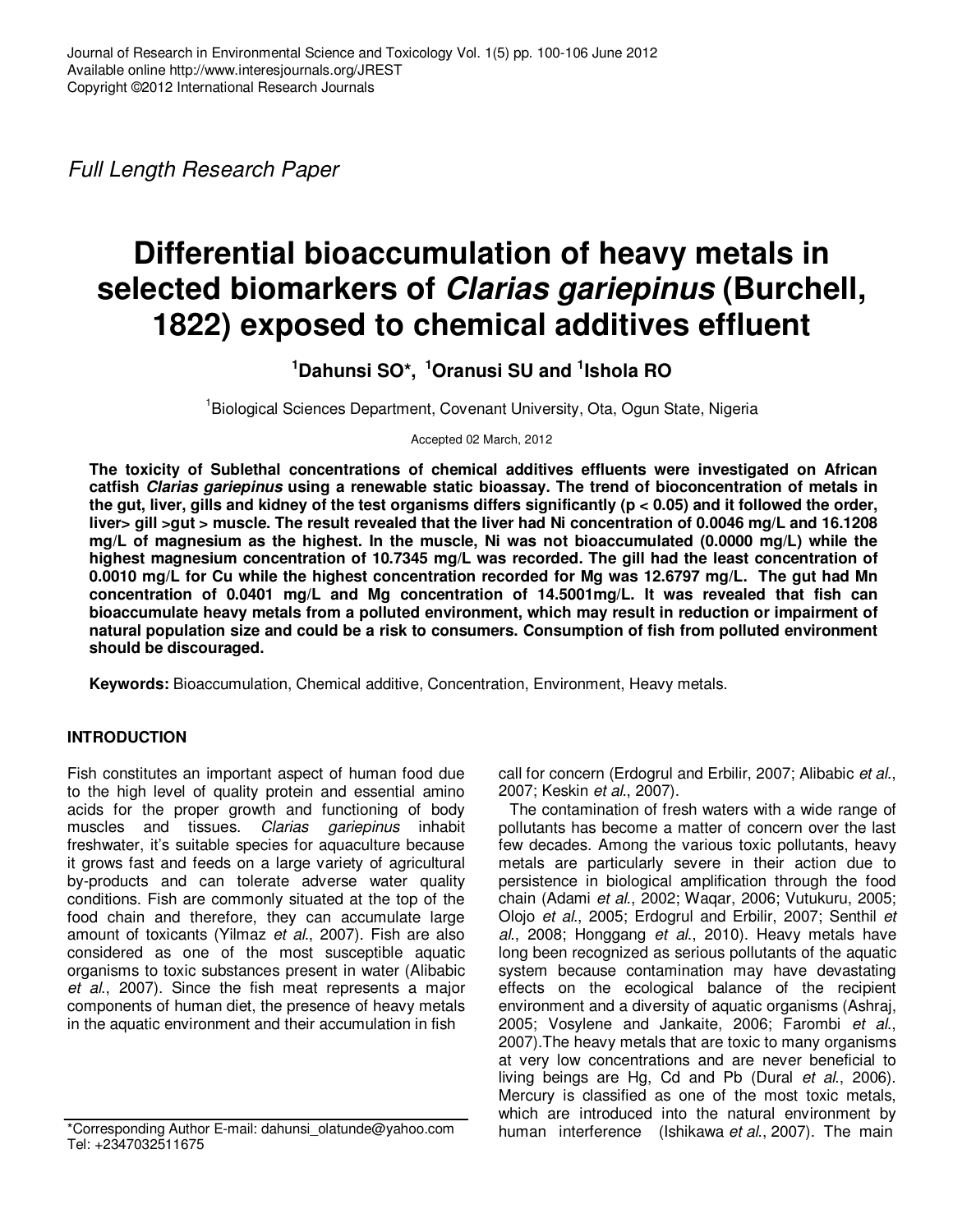Full Length Research Paper

# **Differential bioaccumulation of heavy metals in selected biomarkers of Clarias gariepinus (Burchell, 1822) exposed to chemical additives effluent**

**<sup>1</sup>Dahunsi SO\*, <sup>1</sup>Oranusi SU and <sup>1</sup> Ishola RO**

<sup>1</sup>Biological Sciences Department, Covenant University, Ota, Ogun State, Nigeria

Accepted 02 March, 2012

**The toxicity of Sublethal concentrations of chemical additives effluents were investigated on African catfish Clarias gariepinus using a renewable static bioassay. The trend of bioconcentration of metals in the gut, liver, gills and kidney of the test organisms differs significantly (p < 0.05) and it followed the order, liver> gill >gut > muscle. The result revealed that the liver had Ni concentration of 0.0046 mg/L and 16.1208 mg/L of magnesium as the highest. In the muscle, Ni was not bioaccumulated (0.0000 mg/L) while the highest magnesium concentration of 10.7345 mg/L was recorded. The gill had the least concentration of 0.0010 mg/L for Cu while the highest concentration recorded for Mg was 12.6797 mg/L. The gut had Mn concentration of 0.0401 mg/L and Mg concentration of 14.5001mg/L. It was revealed that fish can bioaccumulate heavy metals from a polluted environment, which may result in reduction or impairment of natural population size and could be a risk to consumers. Consumption of fish from polluted environment should be discouraged.** 

**Keywords:** Bioaccumulation, Chemical additive, Concentration, Environment, Heavy metals.

# **INTRODUCTION**

Fish constitutes an important aspect of human food due to the high level of quality protein and essential amino acids for the proper growth and functioning of body muscles and tissues. Clarias gariepinus inhabit freshwater, it's suitable species for aquaculture because it grows fast and feeds on a large variety of agricultural by-products and can tolerate adverse water quality conditions. Fish are commonly situated at the top of the food chain and therefore, they can accumulate large amount of toxicants (Yilmaz et al., 2007). Fish are also considered as one of the most susceptible aquatic organisms to toxic substances present in water (Alibabic et al., 2007). Since the fish meat represents a major components of human diet, the presence of heavy metals in the aquatic environment and their accumulation in fish

\*Corresponding Author E-mail: dahunsi\_olatunde@yahoo.com Tel: +2347032511675

call for concern (Erdogrul and Erbilir, 2007; Alibabic et al., 2007; Keskin et al., 2007).

The contamination of fresh waters with a wide range of pollutants has become a matter of concern over the last few decades. Among the various toxic pollutants, heavy metals are particularly severe in their action due to persistence in biological amplification through the food chain (Adami et al., 2002; Waqar, 2006; Vutukuru, 2005; Olojo et al., 2005; Erdogrul and Erbilir, 2007; Senthil et al., 2008; Honggang et al., 2010). Heavy metals have long been recognized as serious pollutants of the aquatic system because contamination may have devastating effects on the ecological balance of the recipient environment and a diversity of aquatic organisms (Ashraj, 2005; Vosylene and Jankaite, 2006; Farombi et al., 2007).The heavy metals that are toxic to many organisms at very low concentrations and are never beneficial to living beings are Hg, Cd and Pb (Dural et al., 2006). Mercury is classified as one of the most toxic metals, which are introduced into the natural environment by human interference (Ishikawa et al., 2007). The main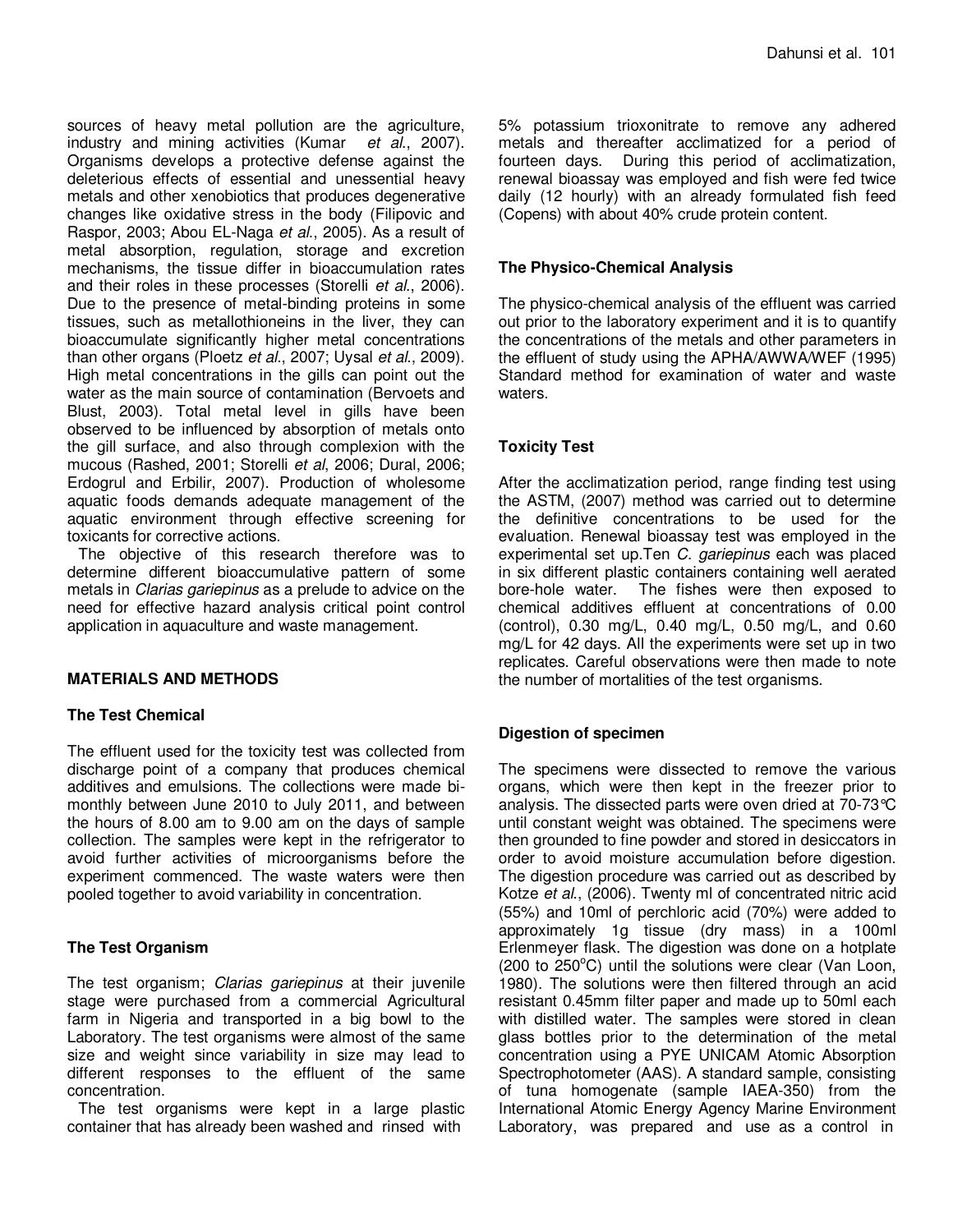sources of heavy metal pollution are the agriculture, industry and mining activities (Kumar et al., 2007). Organisms develops a protective defense against the deleterious effects of essential and unessential heavy metals and other xenobiotics that produces degenerative changes like oxidative stress in the body (Filipovic and Raspor, 2003; Abou EL-Naga et al., 2005). As a result of metal absorption, regulation, storage and excretion mechanisms, the tissue differ in bioaccumulation rates and their roles in these processes (Storelli et al., 2006). Due to the presence of metal-binding proteins in some tissues, such as metallothioneins in the liver, they can bioaccumulate significantly higher metal concentrations than other organs (Ploetz et al., 2007; Uysal et al., 2009). High metal concentrations in the gills can point out the water as the main source of contamination (Bervoets and Blust, 2003). Total metal level in gills have been observed to be influenced by absorption of metals onto the gill surface, and also through complexion with the mucous (Rashed, 2001; Storelli et al, 2006; Dural, 2006; Erdogrul and Erbilir, 2007). Production of wholesome aquatic foods demands adequate management of the aquatic environment through effective screening for toxicants for corrective actions.

The objective of this research therefore was to determine different bioaccumulative pattern of some metals in Clarias gariepinus as a prelude to advice on the need for effective hazard analysis critical point control application in aquaculture and waste management.

# **MATERIALS AND METHODS**

#### **The Test Chemical**

The effluent used for the toxicity test was collected from discharge point of a company that produces chemical additives and emulsions. The collections were made bimonthly between June 2010 to July 2011, and between the hours of 8.00 am to 9.00 am on the days of sample collection. The samples were kept in the refrigerator to avoid further activities of microorganisms before the experiment commenced. The waste waters were then pooled together to avoid variability in concentration.

# **The Test Organism**

The test organism; Clarias gariepinus at their juvenile stage were purchased from a commercial Agricultural farm in Nigeria and transported in a big bowl to the Laboratory. The test organisms were almost of the same size and weight since variability in size may lead to different responses to the effluent of the same concentration.

The test organisms were kept in a large plastic container that has already been washed and rinsed with

5% potassium trioxonitrate to remove any adhered metals and thereafter acclimatized for a period of fourteen days. During this period of acclimatization, renewal bioassay was employed and fish were fed twice daily (12 hourly) with an already formulated fish feed (Copens) with about 40% crude protein content.

### **The Physico-Chemical Analysis**

The physico-chemical analysis of the effluent was carried out prior to the laboratory experiment and it is to quantify the concentrations of the metals and other parameters in the effluent of study using the APHA/AWWA/WEF (1995) Standard method for examination of water and waste waters.

# **Toxicity Test**

After the acclimatization period, range finding test using the ASTM, (2007) method was carried out to determine the definitive concentrations to be used for the evaluation. Renewal bioassay test was employed in the experimental set up. Ten C. gariepinus each was placed in six different plastic containers containing well aerated bore-hole water. The fishes were then exposed to chemical additives effluent at concentrations of 0.00 (control), 0.30 mg/L, 0.40 mg/L, 0.50 mg/L, and 0.60 mg/L for 42 days. All the experiments were set up in two replicates. Careful observations were then made to note the number of mortalities of the test organisms.

# **Digestion of specimen**

The specimens were dissected to remove the various organs, which were then kept in the freezer prior to analysis. The dissected parts were oven dried at 70-73°C until constant weight was obtained. The specimens were then grounded to fine powder and stored in desiccators in order to avoid moisture accumulation before digestion. The digestion procedure was carried out as described by Kotze et al., (2006). Twenty ml of concentrated nitric acid (55%) and 10ml of perchloric acid (70%) were added to approximately 1g tissue (dry mass) in a 100ml Erlenmeyer flask. The digestion was done on a hotplate (200 to  $250^{\circ}$ C) until the solutions were clear (Van Loon, 1980). The solutions were then filtered through an acid resistant 0.45mm filter paper and made up to 50ml each with distilled water. The samples were stored in clean glass bottles prior to the determination of the metal concentration using a PYE UNICAM Atomic Absorption Spectrophotometer (AAS). A standard sample, consisting of tuna homogenate (sample IAEA-350) from the International Atomic Energy Agency Marine Environment Laboratory, was prepared and use as a control in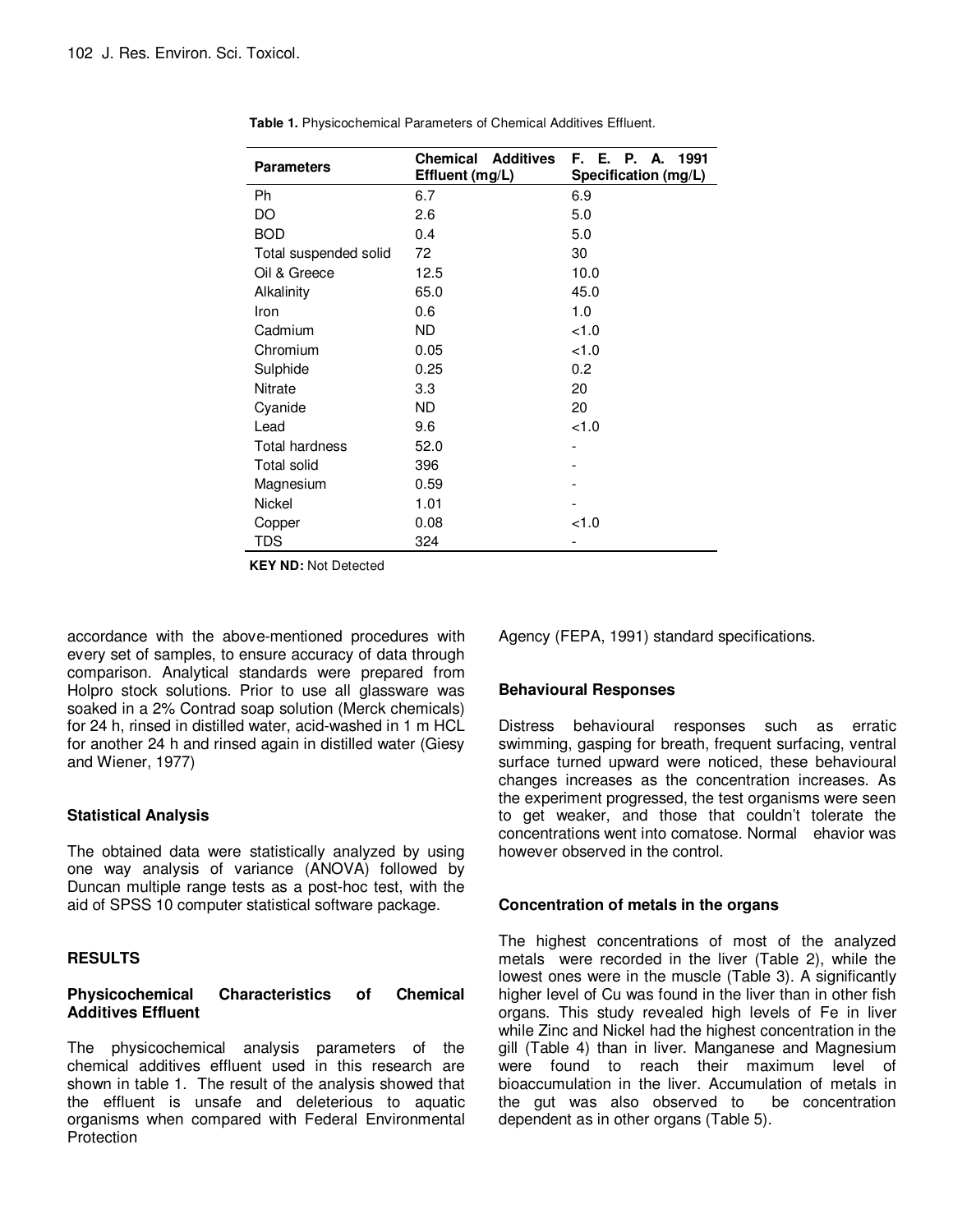| <b>Parameters</b>     | <b>Additives</b><br>Chemical<br>Effluent (mg/L) | F. E. P. A.<br>1991<br>Specification (mg/L) |  |  |
|-----------------------|-------------------------------------------------|---------------------------------------------|--|--|
| Ph                    | 6.7                                             | 6.9                                         |  |  |
| DO                    | 2.6                                             | 5.0                                         |  |  |
| <b>BOD</b>            | 0.4                                             | 5.0                                         |  |  |
| Total suspended solid | 72                                              | 30                                          |  |  |
| Oil & Greece          | 12.5                                            | 10.0                                        |  |  |
| Alkalinity            | 65.0                                            | 45.0                                        |  |  |
| Iron                  | 0.6                                             | 1.0                                         |  |  |
| Cadmium               | <b>ND</b>                                       | 1.0                                         |  |  |
| Chromium              | 0.05                                            | < 1.0                                       |  |  |
| Sulphide              | 0.25                                            | 0.2                                         |  |  |
| <b>Nitrate</b>        | 3.3                                             | 20                                          |  |  |
| Cyanide               | <b>ND</b>                                       | 20                                          |  |  |
| Lead                  | 9.6                                             | < 1.0                                       |  |  |
| Total hardness        | 52.0                                            |                                             |  |  |
| <b>Total solid</b>    | 396                                             |                                             |  |  |
| Magnesium             | 0.59                                            |                                             |  |  |
| Nickel                | 1.01                                            |                                             |  |  |
| Copper                | 0.08                                            | < 1.0                                       |  |  |
| TDS                   | 324                                             |                                             |  |  |

**Table 1.** Physicochemical Parameters of Chemical Additives Effluent.

**KEY ND:** Not Detected

accordance with the above-mentioned procedures with every set of samples, to ensure accuracy of data through comparison. Analytical standards were prepared from Holpro stock solutions. Prior to use all glassware was soaked in a 2% Contrad soap solution (Merck chemicals) for 24 h, rinsed in distilled water, acid-washed in 1 m HCL for another 24 h and rinsed again in distilled water (Giesy and Wiener, 1977)

#### **Statistical Analysis**

The obtained data were statistically analyzed by using one way analysis of variance (ANOVA) followed by Duncan multiple range tests as a post-hoc test, with the aid of SPSS 10 computer statistical software package.

# **RESULTS**

#### **Physicochemical Characteristics of Chemical Additives Effluent**

The physicochemical analysis parameters of the chemical additives effluent used in this research are shown in table 1. The result of the analysis showed that the effluent is unsafe and deleterious to aquatic organisms when compared with Federal Environmental **Protection** 

Agency (FEPA, 1991) standard specifications.

#### **Behavioural Responses**

Distress behavioural responses such as erratic swimming, gasping for breath, frequent surfacing, ventral surface turned upward were noticed, these behavioural changes increases as the concentration increases. As the experiment progressed, the test organisms were seen to get weaker, and those that couldn't tolerate the concentrations went into comatose. Normal ehavior was however observed in the control.

#### **Concentration of metals in the organs**

The highest concentrations of most of the analyzed metals were recorded in the liver (Table 2), while the lowest ones were in the muscle (Table 3). A significantly higher level of Cu was found in the liver than in other fish organs. This study revealed high levels of Fe in liver while Zinc and Nickel had the highest concentration in the gill (Table 4) than in liver. Manganese and Magnesium were found to reach their maximum level of bioaccumulation in the liver. Accumulation of metals in the gut was also observed to be concentration dependent as in other organs (Table 5).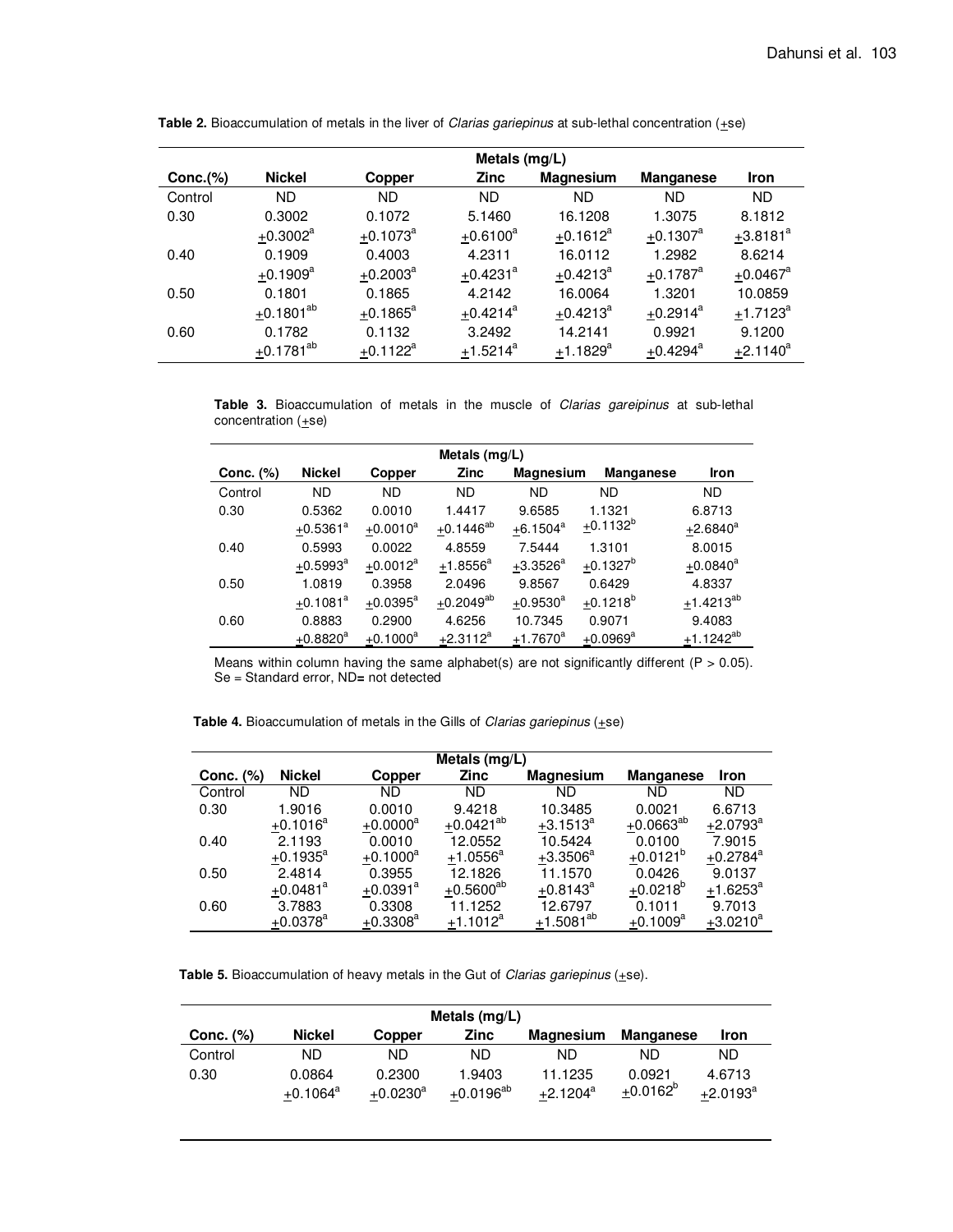|             | Metals (mg/L)            |                        |                        |                        |                        |                        |
|-------------|--------------------------|------------------------|------------------------|------------------------|------------------------|------------------------|
| $Conc.$ $%$ | <b>Nickel</b>            | Copper                 | <b>Zinc</b>            | <b>Magnesium</b>       | <b>Manganese</b>       | <b>Iron</b>            |
| Control     | <b>ND</b>                | <b>ND</b>              | ND.                    | <b>ND</b>              | ND                     | ND.                    |
| 0.30        | 0.3002                   | 0.1072                 | 5.1460                 | 16.1208                | 1.3075                 | 8.1812                 |
|             | $+0.3002$ <sup>a</sup>   | $+0.1073$ <sup>a</sup> | $+0.6100^a$            | $+0.1612^a$            | $+0.1307$ <sup>a</sup> | $+3.8181$ <sup>a</sup> |
| 0.40        | 0.1909                   | 0.4003                 | 4.2311                 | 16.0112                | 1.2982                 | 8.6214                 |
|             | $+0.1909^{\rm a}$        | $+0.2003^a$            | $+0.4231$ <sup>a</sup> | $+0.4213^a$            | $+0.1787$ <sup>a</sup> | $+0.0467$ <sup>a</sup> |
| 0.50        | 0.1801                   | 0.1865                 | 4.2142                 | 16.0064                | 1.3201                 | 10.0859                |
|             | $\pm$ 0.1801 $^{\rm ab}$ | $+0.1865^a$            | $+0.4214^a$            | $+0.4213^a$            | $+0.2914^a$            | $+1.7123^{a}$          |
| 0.60        | 0.1782                   | 0.1132                 | 3.2492                 | 14.2141                | 0.9921                 | 9.1200                 |
|             | $\pm$ 0.1781 $^{\rm ab}$ | $+0.1122^a$            | $+1.5214^a$            | $+1.1829$ <sup>a</sup> | $+0.4294$ <sup>a</sup> | $+2.1140^a$            |

Table 2. Bioaccumulation of metals in the liver of *Clarias gariepinus* at sub-lethal concentration ( $\pm$ se)

Table 3. Bioaccumulation of metals in the muscle of Clarias gareipinus at sub-lethal concentration  $(+se)$ 

| Metals $(mg/L)$ |                           |                      |                |                           |                        |                |  |
|-----------------|---------------------------|----------------------|----------------|---------------------------|------------------------|----------------|--|
| Conc. (%)       | <b>Nickel</b>             | Copper               | <b>Zinc</b>    | <b>Magnesium</b>          | <b>Manganese</b>       | <b>Iron</b>    |  |
| Control         | <b>ND</b>                 | <b>ND</b>            | <b>ND</b>      | <b>ND</b>                 | <b>ND</b>              | <b>ND</b>      |  |
| 0.30            | 0.5362                    | 0.0010               | 1.4417         | 9.6585                    | 1.1321                 | 6.8713         |  |
|                 | $+0.5361^a$               | $+0.0010^a$          | $+0.1446^{ab}$ | $+6.1504^a$               | $+0.1132^{b}$          | $+2.6840^a$    |  |
| 0.40            | 0.5993                    | 0.0022               | 4.8559         | 7.5444                    | 1.3101                 | 8.0015         |  |
|                 | $+0.5993^{\circ}$         | $+0.0012^a$          | $+1.8556^a$    | $\pm$ 3.3526 <sup>a</sup> | $+0.1327^{b}$          | $+0.0840^a$    |  |
| 0.50            | 1.0819                    | 0.3958               | 2.0496         | 9.8567                    | 0.6429                 | 4.8337         |  |
|                 | $\pm$ 0.1081 <sup>a</sup> | $+0.0395^{\text{a}}$ | $+0.2049^{ab}$ | $+0.9530^a$               | $+0.1218^{b}$          | $+1.4213^{ab}$ |  |
| 0.60            | 0.8883                    | 0.2900               | 4.6256         | 10.7345                   | 0.9071                 | 9.4083         |  |
|                 | $+0.8820^a$               | $+0.1000^a$          | $+2.3112^a$    | $+1.7670$ <sup>a</sup>    | $+0.0969$ <sup>a</sup> | $+1.1242^{ab}$ |  |

Means within column having the same alphabet(s) are not significantly different ( $P > 0.05$ ). Se = Standard error, ND**=** not detected

**Table 4.** Bioaccumulation of metals in the Gills of Clarias gariepinus (+se)

| Metals $(mg/L)$ |                        |                        |                |                          |                        |                        |  |
|-----------------|------------------------|------------------------|----------------|--------------------------|------------------------|------------------------|--|
| Conc. (%)       | <b>Nickel</b>          | Copper                 | <b>Zinc</b>    | <b>Magnesium</b>         | <b>Manganese</b>       | Iron                   |  |
| Control         | ND                     | ND                     | ND             | ND                       | ND.                    | ND                     |  |
| 0.30            | 1.9016                 | 0.0010                 | 9.4218         | 10.3485                  | 0.0021                 | 6.6713                 |  |
|                 | $+0.1016^a$            | $+0.0000^a$            | $+0.0421^{ab}$ | $+3.1513^{a}$            | $+0.0663^{ab}$         | $+2.0793^a$            |  |
| 0.40            | 2.1193                 | 0.0010                 | 12.0552        | 10.5424                  | 0.0100                 | 7.9015                 |  |
|                 | $+0.1935^{\circ}$      | $+0.1000^a$            | $+1.0556^a$    | $+3.3506^a$              | $+0.0121$ <sup>b</sup> | $+0.2784$ <sup>a</sup> |  |
| 0.50            | 2.4814                 | 0.3955                 | 12.1826        | 11.1570                  | 0.0426                 | 9.0137                 |  |
|                 | $+0.0481$ <sup>a</sup> | $+0.0391$ <sup>a</sup> | $+0.5600^{ab}$ | $+0.8143^a$              | $+0.0218^b$            | $+1.6253^a$            |  |
| 0.60            | 3.7883                 | 0.3308                 | 11.1252        | 12.6797                  | 0.1011                 | 9.7013                 |  |
|                 | $+0.0378$ <sup>a</sup> | $+0.3308^{a}$          | $+1.1012^a$    | $\pm$ 1.5081 $^{\rm ab}$ | $+0.1009^a$            | $+3.0210^a$            |  |

Table 5. Bioaccumulation of heavy metals in the Gut of Clarias gariepinus (+se).

| Metals $(mq/L)$ |               |             |                |                  |                  |             |  |
|-----------------|---------------|-------------|----------------|------------------|------------------|-------------|--|
| Conc. $(\%)$    | <b>Nickel</b> | Copper      | Zinc           | <b>Magnesium</b> | <b>Manganese</b> | <b>Iron</b> |  |
| Control         | ND.           | ND          | ND             | ND.              | ND.              | ND          |  |
| 0.30            | 0.0864        | 0.2300      | 1.9403         | 11.1235          | 0.0921           | 4.6713      |  |
|                 | $+0.1064^a$   | $+0.0230^a$ | $+0.0196^{ab}$ | $+2.1204^a$      | $+0.0162^{b}$    | $+2.0193^a$ |  |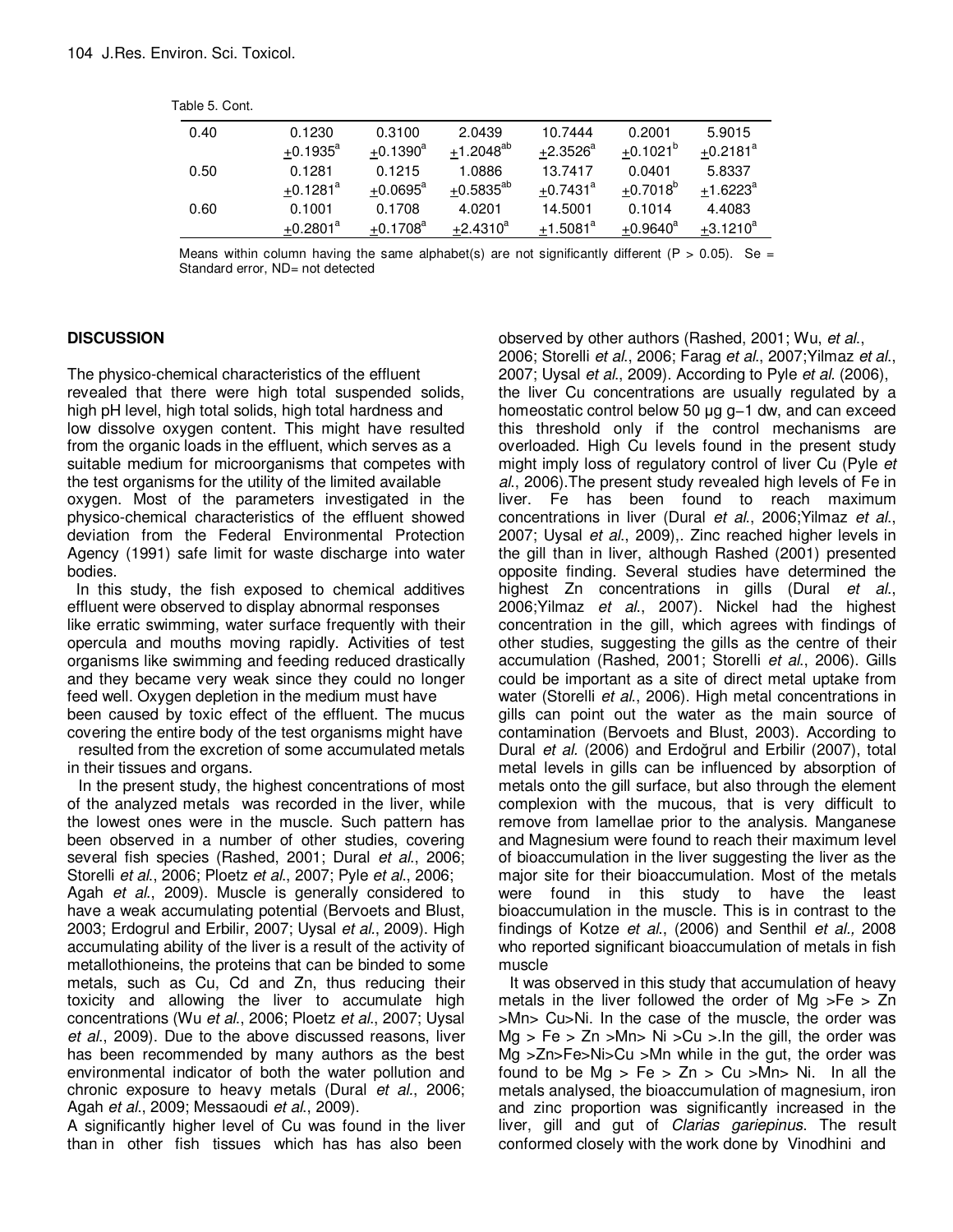| 0.40 | 0.1230                 | 0.3100                 | 2.0439         | 10.7444                | 0.2001            | 5.9015                 |
|------|------------------------|------------------------|----------------|------------------------|-------------------|------------------------|
|      | $+0.1935^a$            | $+0.1390^a$            | $+1.2048^{ab}$ | $+2.3526^a$            | $+0.1021^{b}$     | $+0.2181$ <sup>a</sup> |
| 0.50 | 0.1281                 | 0.1215                 | 1.0886         | 13.7417                | 0.0401            | 5.8337                 |
|      | $+0.1281$ <sup>a</sup> | $+0.0695^{\circ}$      | $+0.5835^{ab}$ | $+0.7431$ <sup>a</sup> | $+0.7018^{b}$     | $+1.6223$ <sup>a</sup> |
| 0.60 | 0.1001                 | 0.1708                 | 4.0201         | 14.5001                | 0.1014            | 4.4083                 |
|      | $+0.2801$ <sup>a</sup> | $+0.1708$ <sup>a</sup> | $+2.4310^a$    | $+1.5081^a$            | $+0.9640^{\circ}$ | $+3.1210^a$            |

Means within column having the same alphabet(s) are not significantly different (P > 0.05). Se = Standard error, ND= not detected

#### **DISCUSSION**

The physico-chemical characteristics of the effluent revealed that there were high total suspended solids, high pH level, high total solids, high total hardness and low dissolve oxygen content. This might have resulted from the organic loads in the effluent, which serves as a suitable medium for microorganisms that competes with the test organisms for the utility of the limited available oxygen. Most of the parameters investigated in the physico-chemical characteristics of the effluent showed deviation from the Federal Environmental Protection Agency (1991) safe limit for waste discharge into water bodies.

 In this study, the fish exposed to chemical additives effluent were observed to display abnormal responses like erratic swimming, water surface frequently with their opercula and mouths moving rapidly. Activities of test organisms like swimming and feeding reduced drastically and they became very weak since they could no longer feed well. Oxygen depletion in the medium must have been caused by toxic effect of the effluent. The mucus covering the entire body of the test organisms might have resulted from the excretion of some accumulated metals

in their tissues and organs.

In the present study, the highest concentrations of most of the analyzed metals was recorded in the liver, while the lowest ones were in the muscle. Such pattern has been observed in a number of other studies, covering several fish species (Rashed, 2001; Dural et al., 2006; Storelli et al., 2006; Ploetz et al., 2007; Pyle et al., 2006; Agah *et al.*, 2009). Muscle is generally considered to have a weak accumulating potential (Bervoets and Blust, 2003; Erdogrul and Erbilir, 2007; Uysal et al., 2009). High accumulating ability of the liver is a result of the activity of metallothioneins, the proteins that can be binded to some metals, such as Cu, Cd and Zn, thus reducing their toxicity and allowing the liver to accumulate high concentrations (Wu et al., 2006; Ploetz et al., 2007; Uysal et al., 2009). Due to the above discussed reasons, liver has been recommended by many authors as the best environmental indicator of both the water pollution and chronic exposure to heavy metals (Dural et al., 2006; Agah et al., 2009; Messaoudi et al., 2009).

A significantly higher level of Cu was found in the liver than in other fish tissues which has has also been

observed by other authors (Rashed, 2001; Wu, et al., 2006; Storelli et al., 2006; Farag et al., 2007;Yilmaz et al., 2007; Uysal et al., 2009). According to Pyle et al. (2006), the liver Cu concentrations are usually regulated by a homeostatic control below 50 µg g−1 dw, and can exceed this threshold only if the control mechanisms are overloaded. High Cu levels found in the present study might imply loss of regulatory control of liver Cu (Pyle et al., 2006).The present study revealed high levels of Fe in liver. Fe has been found to reach maximum concentrations in liver (Dural et al., 2006; Yilmaz et al., 2007; Uysal et al., 2009),. Zinc reached higher levels in the gill than in liver, although Rashed (2001) presented opposite finding. Several studies have determined the highest Zn concentrations in gills (Dural et al., 2006;Yilmaz et al., 2007). Nickel had the highest concentration in the gill, which agrees with findings of other studies, suggesting the gills as the centre of their accumulation (Rashed, 2001; Storelli et al., 2006). Gills could be important as a site of direct metal uptake from water (Storelli et al., 2006). High metal concentrations in gills can point out the water as the main source of contamination (Bervoets and Blust, 2003). According to Dural et al. (2006) and Erdoğrul and Erbilir (2007), total metal levels in gills can be influenced by absorption of metals onto the gill surface, but also through the element complexion with the mucous, that is very difficult to remove from lamellae prior to the analysis. Manganese and Magnesium were found to reach their maximum level of bioaccumulation in the liver suggesting the liver as the major site for their bioaccumulation. Most of the metals were found in this study to have the least bioaccumulation in the muscle. This is in contrast to the findings of Kotze et al., (2006) and Senthil et al., 2008 who reported significant bioaccumulation of metals in fish muscle

It was observed in this study that accumulation of heavy metals in the liver followed the order of Mg  $>Fe$   $>$  Zn >Mn> Cu>Ni. In the case of the muscle, the order was  $Mg > Fe > Zn > Mn > Ni > Cu > In$  the gill, the order was Mg >Zn>Fe>Ni>Cu >Mn while in the gut, the order was found to be  $Mg > Fe > Zn > Cu > Mn > Ni$ . In all the metals analysed, the bioaccumulation of magnesium, iron and zinc proportion was significantly increased in the liver, gill and gut of Clarias gariepinus. The result conformed closely with the work done by Vinodhini and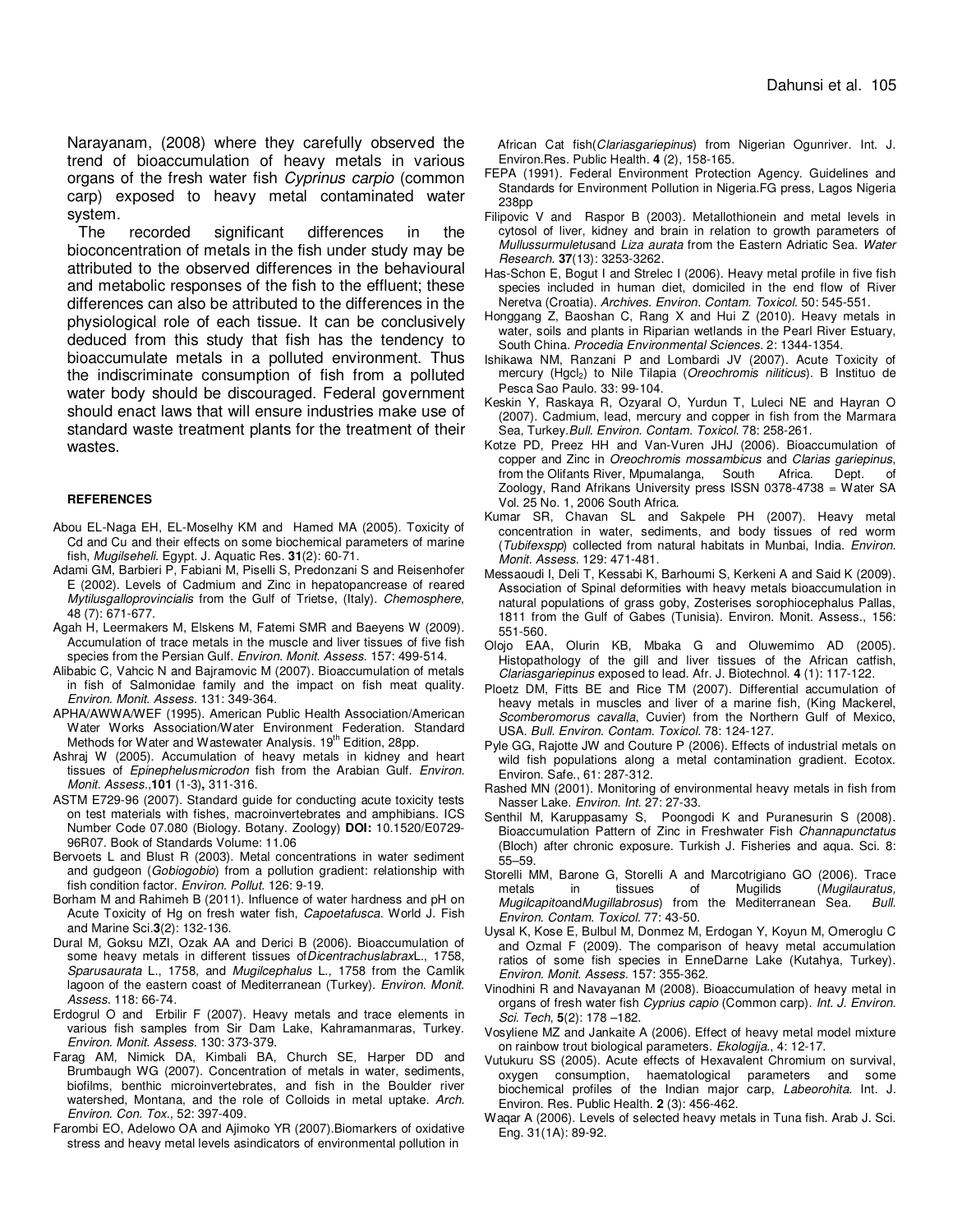Narayanam, (2008) where they carefully observed the trend of bioaccumulation of heavy metals in various organs of the fresh water fish Cyprinus carpio (common carp) exposed to heavy metal contaminated water system.

The recorded significant differences in the bioconcentration of metals in the fish under study may be attributed to the observed differences in the behavioural and metabolic responses of the fish to the effluent; these differences can also be attributed to the differences in the physiological role of each tissue. It can be conclusively deduced from this study that fish has the tendency to bioaccumulate metals in a polluted environment. Thus the indiscriminate consumption of fish from a polluted water body should be discouraged. Federal government should enact laws that will ensure industries make use of standard waste treatment plants for the treatment of their wastes.

#### **REFERENCES**

- Abou EL-Naga EH, EL-Moselhy KM and Hamed MA (2005). Toxicity of Cd and Cu and their effects on some biochemical parameters of marine fish, Mugilseheli. Egypt. J. Aquatic Res. **31**(2): 60-71.
- Adami GM, Barbieri P, Fabiani M, Piselli S, Predonzani S and Reisenhofer E (2002). Levels of Cadmium and Zinc in hepatopancrease of reared Mytilusgalloprovincialis from the Gulf of Trietse, (Italy). Chemosphere, 48 (7): 671-677.
- Agah H, Leermakers M, Elskens M, Fatemi SMR and Baeyens W (2009). Accumulation of trace metals in the muscle and liver tissues of five fish species from the Persian Gulf. Environ. Monit. Assess. 157: 499-514.
- Alibabic C, Vahcic N and Bajramovic M (2007). Bioaccumulation of metals in fish of Salmonidae family and the impact on fish meat quality. Environ. Monit. Assess. 131: 349-364.
- APHA/AWWA/WEF (1995). American Public Health Association/American Water Works Association/Water Environment Federation. Standard Methods for Water and Wastewater Analysis. 19<sup>th</sup> Edition, 28pp.
- Ashraj W (2005). Accumulation of heavy metals in kidney and heart tissues of Epinephelusmicrodon fish from the Arabian Gulf. Environ. Monit. Assess.,**101** (1-3)**,** 311-316.
- ASTM E729-96 (2007). Standard guide for conducting acute toxicity tests on test materials with fishes, macroinvertebrates and amphibians. ICS Number Code 07.080 (Biology. Botany. Zoology) **DOI:** 10.1520/E0729- 96R07. Book of Standards Volume: 11.06
- Bervoets L and Blust R (2003). Metal concentrations in water sediment and gudgeon (Gobiogobio) from a pollution gradient: relationship with fish condition factor. Environ. Pollut. 126: 9-19.
- Borham M and Rahimeh B (2011). Influence of water hardness and pH on Acute Toxicity of Hg on fresh water fish, Capoetafusca. World J. Fish and Marine Sci.**3**(2): 132-136.
- Dural M, Goksu MZI, Ozak AA and Derici B (2006). Bioaccumulation of some heavy metals in different tissues of DicentrachuslabraxL., 1758, Sparusaurata L., 1758, and Mugilcephalus L., 1758 from the Camlik lagoon of the eastern coast of Mediterranean (Turkey). Environ. Monit. Assess. 118: 66-74.
- Erdogrul O and Erbilir F (2007). Heavy metals and trace elements in various fish samples from Sir Dam Lake, Kahramanmaras, Turkey. Environ. Monit. Assess. 130: 373-379.
- Farag AM, Nimick DA, Kimbali BA, Church SE, Harper DD and Brumbaugh WG (2007). Concentration of metals in water, sediments, biofilms, benthic microinvertebrates, and fish in the Boulder river watershed, Montana, and the role of Colloids in metal uptake. Arch. Environ. Con. Tox., 52: 397-409.
- Farombi EO, Adelowo OA and Ajimoko YR (2007).Biomarkers of oxidative stress and heavy metal levels asindicators of environmental pollution in

African Cat fish(Clariasgariepinus) from Nigerian Ogunriver. Int. J. Environ.Res. Public Health. **4** (2), 158-165.

- FEPA (1991). Federal Environment Protection Agency. Guidelines and Standards for Environment Pollution in Nigeria.FG press, Lagos Nigeria 238pp
- Filipovic V and Raspor B (2003). Metallothionein and metal levels in cytosol of liver, kidney and brain in relation to growth parameters of Mullussurmuletusand Liza aurata from the Eastern Adriatic Sea. Water Research. **37**(13): 3253-3262.
- Has-Schon E, Bogut I and Strelec I (2006). Heavy metal profile in five fish species included in human diet, domiciled in the end flow of River Neretva (Croatia). Archives. Environ. Contam. Toxicol. 50: 545-551.
- Honggang Z, Baoshan C, Rang X and Hui Z (2010). Heavy metals in water, soils and plants in Riparian wetlands in the Pearl River Estuary, South China. Procedia Environmental Sciences. 2: 1344-1354.
- Ishikawa NM, Ranzani P and Lombardi JV (2007). Acute Toxicity of mercury (Hgcl<sub>2</sub>) to Nile Tilapia (Oreochromis niliticus). B Instituo de Pesca Sao Paulo. 33: 99-104.
- Keskin Y, Raskaya R, Ozyaral O, Yurdun T, Luleci NE and Hayran O (2007). Cadmium, lead, mercury and copper in fish from the Marmara Sea, Turkey.Bull. Environ. Contam. Toxicol. 78: 258-261.
- Kotze PD, Preez HH and Van-Vuren JHJ (2006). Bioaccumulation of copper and Zinc in Oreochromis mossambicus and Clarias gariepinus, from the Olifants River, Mpumalanga, South Africa. Dept. of Zoology, Rand Afrikans University press ISSN 0378-4738 = Water SA Vol. 25 No. 1, 2006 South Africa.
- Kumar SR, Chavan SL and Sakpele PH (2007). Heavy metal concentration in water, sediments, and body tissues of red worm (Tubifexspp) collected from natural habitats in Munbai, India. Environ. Monit. Assess. 129: 471-481.
- Messaoudi I, Deli T, Kessabi K, Barhoumi S, Kerkeni A and Said K (2009). Association of Spinal deformities with heavy metals bioaccumulation in natural populations of grass goby, Zosterises sorophiocephalus Pallas, 1811 from the Gulf of Gabes (Tunisia). Environ. Monit. Assess., 156: 551-560.
- Olojo EAA, Olurin KB, Mbaka G and Oluwemimo AD (2005). Histopathology of the gill and liver tissues of the African catfish, Clariasgariepinus exposed to lead. Afr. J. Biotechnol. **4** (1): 117-122.
- Ploetz DM, Fitts BE and Rice TM (2007). Differential accumulation of heavy metals in muscles and liver of a marine fish, (King Mackerel, Scomberomorus cavalla, Cuvier) from the Northern Gulf of Mexico, USA. Bull. Environ. Contam. Toxicol. 78: 124-127.
- Pyle GG, Rajotte JW and Couture P (2006). Effects of industrial metals on wild fish populations along a metal contamination gradient. Ecotox. Environ. Safe., 61: 287-312.
- Rashed MN (2001). Monitoring of environmental heavy metals in fish from Nasser Lake. Environ. Int. 27: 27-33.
- Senthil M, Karuppasamy S, Poongodi K and Puranesurin S (2008). **Bioaccumulation Pattern of Zinc in Freshwater Fish Channapunctatus** (Bloch) after chronic exposure. Turkish J. Fisheries and aqua. Sci. 8: 55–59.
- Storelli MM, Barone G, Storelli A and Marcotrigiano GO (2006). Trace metals in tissues of Mugilids (Mugilauratus, MugilcapitoandMugillabrosus) from the Mediterranean Sea. Bull. Environ. Contam. Toxicol. 77: 43-50.
- Uysal K, Kose E, Bulbul M, Donmez M, Erdogan Y, Koyun M, Omeroglu C and Ozmal F (2009). The comparison of heavy metal accumulation ratios of some fish species in EnneDarne Lake (Kutahya, Turkey). Environ. Monit. Assess. 157: 355-362.
- Vinodhini R and Navayanan M (2008). Bioaccumulation of heavy metal in organs of fresh water fish Cyprius capio (Common carp). Int. J. Environ. Sci. Tech, **5**(2): 178 –182.
- Vosyliene MZ and Jankaite A (2006). Effect of heavy metal model mixture on rainbow trout biological parameters. Ekologija., 4: 12-17.
- Vutukuru SS (2005). Acute effects of Hexavalent Chromium on survival, oxygen consumption, haematological parameters and some biochemical profiles of the Indian major carp, Labeorohita. Int. J. Environ. Res. Public Health. **2** (3): 456-462.
- Waqar A (2006). Levels of selected heavy metals in Tuna fish. Arab J. Sci. Eng. 31(1A): 89-92.